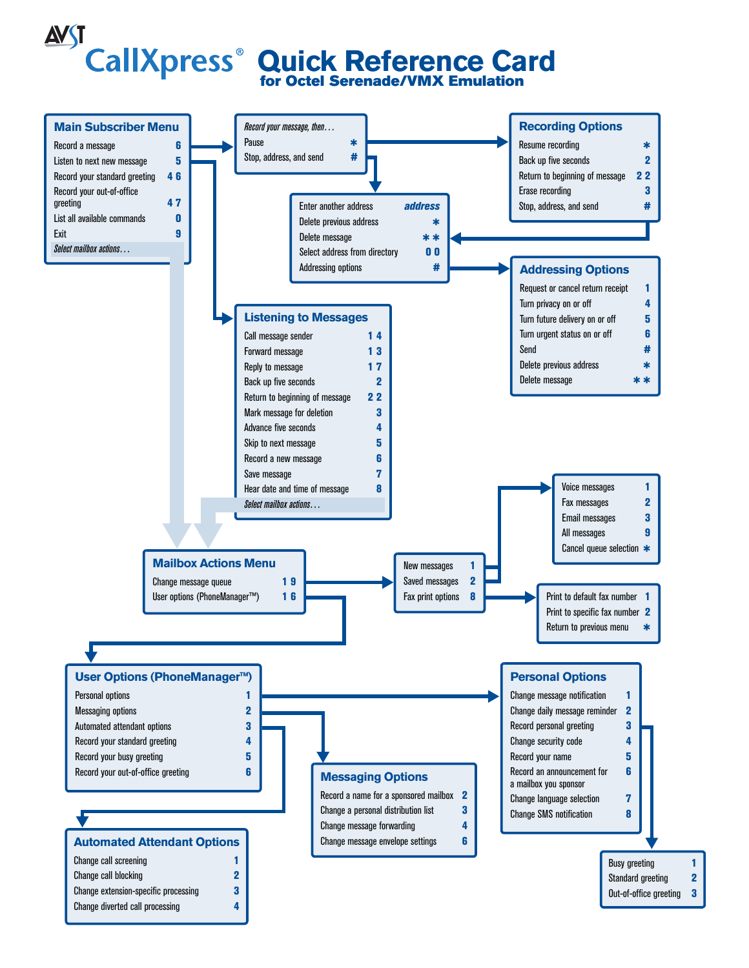**Quick Reference Card for Octel Serenade/VMX Emulation**